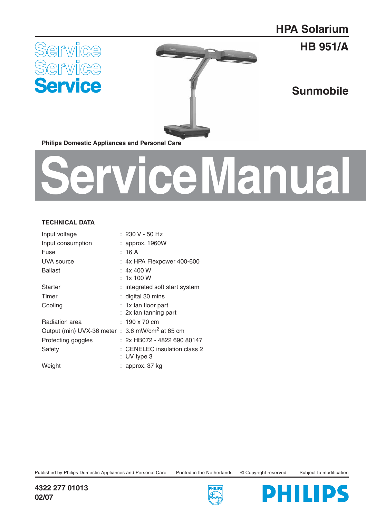## **HPA Solarium**



**HB 951/A**

**Sunmobile**

**Philips Domestic Appliances and Personal Care**

# **Service Manual**

#### **TECHNICAL DATA**

| Input voltage                                               | : 230 V - 50 Hz                |
|-------------------------------------------------------------|--------------------------------|
| Input consumption                                           | : approx. 1960W                |
| Fuse                                                        | :16 A                          |
| UVA source                                                  | $: 4x$ HPA Flexpower 400-600   |
| Ballast                                                     | : 4x400W                       |
|                                                             | 1x 100 W                       |
| <b>Starter</b>                                              | : integrated soft start system |
| Timer                                                       | : digital 30 mins              |
| Cooling                                                     | : 1x fan floor part            |
|                                                             | : 2x fan tanning part          |
| Radiation area                                              | $: 190 \times 70$ cm           |
| Output (min) UVX-36 meter : 3.6 mW/cm <sup>2</sup> at 65 cm |                                |
| Protecting goggles                                          | : 2x HB072 - 4822 690 80147    |
| Safety                                                      | CENELEC insulation class 2     |
|                                                             | :UV type 3                     |
| Weight                                                      | : approx. 37 kg                |
|                                                             |                                |

Published by Philips Domestic Appliances and Personal Care Printed in the Netherlands © Copyright reserved Subject to modification





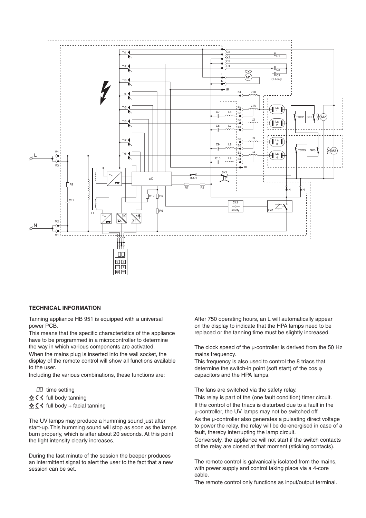

#### **TECHNICAL INFORMATION**

Tanning appliance HB 951 is equipped with a universal power PCB.

This means that the specific characteristics of the appliance have to be programmed in a microcontroller to determine the way in which various components are activated. When the mains plug is inserted into the wall socket, the display of the remote control will show all functions available to the user.

Including the various combinations, these functions are:

 $\Box$  time setting

\* ₹ ₹ full body tanning

 $\frac{1}{2}$  $\frac{1}{2}$   $\frac{1}{2}$  full body + facial tanning

The UV lamps may produce a humming sound just after start-up. This humming sound will stop as soon as the lamps burn properly, which is after about 20 seconds. At this point the light intensity clearly increases.

During the last minute of the session the beeper produces an intermittent signal to alert the user to the fact that a new session can be set.

After 750 operating hours, an L will automatically appear on the display to indicate that the HPA lamps need to be replaced or the tanning time must be slightly increased.

The clock speed of the  $\mu$ -controller is derived from the 50 Hz mains frequency.

This frequency is also used to control the 8 triacs that determine the switch-in point (soft start) of the cos  $\varphi$ capacitors and the HPA lamps.

The fans are switched via the safety relay.

This relay is part of the (one fault condition) timer circuit. If the control of the triacs is disturbed due to a fault in the µ-controller, the UV lamps may not be switched off. As the  $\mu$ -controller also generates a pulsating direct voltage to power the relay, the relay will be de-energised in case of a fault, thereby interrupting the lamp circuit.

Conversely, the appliance will not start if the switch contacts of the relay are closed at that moment (sticking contacts).

The remote control is galvanically isolated from the mains, with power supply and control taking place via a 4-core cable.

The remote control only functions as input/output terminal.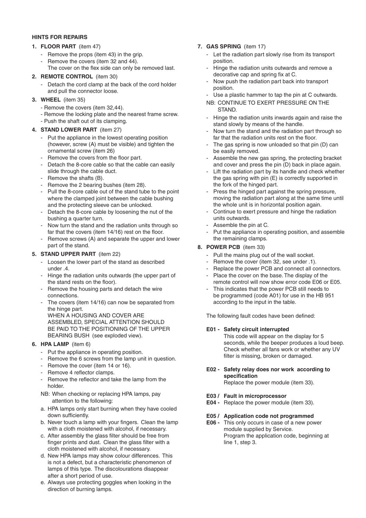#### **HINTS FOR REPAIRS**

#### **1. FLOOR PART** (item 47)

- Remove the props (item 43) in the grip.
- Remove the covers (item 32 and 44).
- The cover on the flex side can only be removed last.

#### **2. REMOTE CONTROL** (item 30)

- Detach the cord clamp at the back of the cord holder and pull the connector loose.
- **3. WHEEL** (item 35)
	- Remove the covers (item 32,44).
	- Remove the locking plate and the nearest frame screw.
	- Push the shaft out of its clamping.

#### **4. STAND LOWER PART** (item 27)

- Put the appliance in the lowest operating position (however, screw (A) must be visible) and tighten the ornamental screw (item 26)
- Remove the covers from the floor part.
- Detach the 8-core cable so that the cable can easily slide through the cable duct.
- Remove the shafts (B).
- Remove the 2 bearing bushes (item 28).
- Pull the 8-core cable out of the stand tube to the point where the clamped joint between the cable bushing and the protecting sleeve can be unlocked.
- Detach the 8-core cable by loosening the nut of the bushing a quarter turn.
- Now turn the stand and the radiation units through so far that the covers (item  $14/16$ ) rest on the floor.
- Remove screws (A) and separate the upper and lower part of the stand.

#### **5. STAND UPPER PART** (item 22)

- Loosen the lower part of the stand as described under .4.
- Hinge the radiation units outwards (the upper part of the stand rests on the floor).
- Remove the housing parts and detach the wire connections.
- The covers (item 14/16) can now be separated from the hinge part. WHEN A HOUSING AND COVER ARE ASSEMBLED, SPECIAL ATTENTION SHOULD BE PAID TO THE POSITIONING OF THE UPPER BEARING BUSH (see exploded view).

#### **6. HPA LAMP** (item 6)

- Put the appliance in operating position.
- Remove the 6 screws from the lamp unit in question.
- Remove the cover (item 14 or 16).
- Remove 4 reflector clamps.
- Remove the reflector and take the lamp from the holder.
- NB: When checking or replacing HPA lamps, pay attention to the following:
- a. HPA lamps only start burning when they have cooled down sufficiently.
- b. Never touch a lamp with your fingers. Clean the lamp with a cloth moistened with alcohol, if necessary.
- c. After assembly the glass filter should be free from finger prints and dust. Clean the glass filter with a cloth moistened with alcohol, if necessary.
- d. New HPA lamps may show colour differences. This is not a defect, but a characteristic phenomenon of lamps of this type. The discolourations disappear after a short period of use.
- e. Always use protecting goggles when looking in the direction of burning lamps.

#### **7. GAS SPRING** (item 17)

- Let the radiation part slowly rise from its transport position.
- Hinge the radiation units outwards and remove a decorative cap and spring fix at C.
- Now push the radiation part back into transport position.
- Use a plastic hammer to tap the pin at C outwards.
- NB: CONTINUE TO EXERT PRESSURE ON THE STAND.
- Hinge the radiation units inwards again and raise the stand slowly by means of the handle.
- Now turn the stand and the radiation part through so far that the radiation units rest on the floor.
- The gas spring is now unloaded so that pin (D) can be easily removed.
- Assemble the new gas spring, the protecting bracket and cover and press the pin (D) back in place again.
- Lift the radiation part by its handle and check whether the gas spring with pin (E) is correctly supported in the fork of the hinged part.
- Press the hinged part against the spring pressure, moving the radiation part along at the same time until the whole unit is in horizontal position again.
- Continue to exert pressure and hinge the radiation units outwards.
- Assemble the pin at C.
- Put the appliance in operating position, and assemble the remaining clamps.

#### **8. POWER PCB** (item 33)

- Pull the mains plug out of the wall socket.
- Remove the cover (item 32, see under .1).
- Replace the power PCB and connect all connectors. Place the cover on the base. The display of the
- remote control will now show error code E06 or E05.
- This indicates that the power PCB still needs to be programmed (code A01) for use in the HB 951 according to the input in the table.

The following fault codes have been defined:

#### **E01 - Safety circuit interrupted**

This code will appear on the display for 5 seconds, while the beeper produces a loud beep. Check whether all fans work or whether any UV filter is missing, broken or damaged.

#### **E02 - Safety relay does nor work according to specifi cation**

Replace the power module (item 33).

#### **E03 / Fault in microprocessor**

**E04 -** Replace the power module (item 33).

#### **E05 / Application code not programmed**

**E06 -** This only occurs in case of a new power module supplied by Service. Program the application code, beginning at line 1, step 3.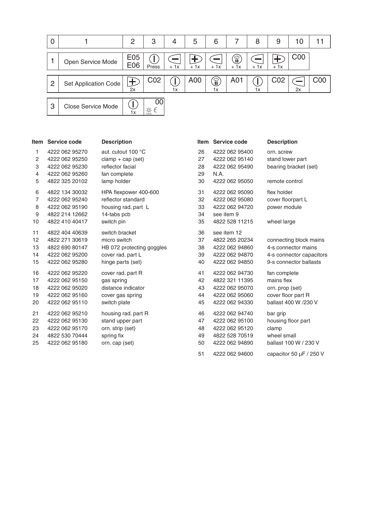

| Item           | Service code   | <b>Description</b>        |    | Item Service code | <b>Description</b>       |
|----------------|----------------|---------------------------|----|-------------------|--------------------------|
| 1              | 4222 062 95270 | aut. cutout 100 °C        | 26 | 4222 062 95400    | orn, screw               |
| 2              | 4222 062 95250 | $clamp + cap (set)$       | 27 | 4222 062 95140    | stand lower part         |
| 3              | 4222 062 95230 | reflector facial          | 28 | 4222 062 95490    | bearing bracket (set)    |
| 4              | 4222 062 95260 | fan complete              | 29 | N.A.              |                          |
| 5              | 4822 325 20102 | lamp holder               | 30 | 4222 062 95050    | remote control           |
| 6              | 4822 134 30032 | HPA flexpower 400-600     | 31 | 4222 062 95090    | flex holder              |
| $\overline{7}$ | 4222 062 95240 | reflector standard        | 32 | 4222 062 95080    | cover floorpart L        |
| 8              | 4222 062 95190 | housing rad. part L       | 33 | 4222 062 94720    | power module             |
| 9              | 4822 214 12662 | 14-tabs pcb               | 34 | see item 9        |                          |
| 10             | 4822 410 40417 | switch pin                | 35 | 4822 528 11215    | wheel large              |
| 11             | 4822 404 40639 | switch bracket            | 36 | see item 12       |                          |
| 12             | 4822 271 30619 | micro switch              | 37 | 4822 265 20234    | connecting block mains   |
| 13             | 4822 690 80147 | HB 072 protecting goggles | 38 | 4222 062 94860    | 4-s connector mains      |
| 14             | 4222 062 95200 | cover rad. part L         | 39 | 4222 062 94870    | 4-s connector capacitors |
| 15             | 4222 062 95280 | hinge parts (set)         | 40 | 4222 062 94850    | 9-s connector ballasts   |
| 16             | 4222 062 95220 | cover rad. part R         | 41 | 4222 062 94730    | fan complete             |
| 17             | 4222 062 95150 | gas spring                | 42 | 4822 321 11395    | mains flex               |
| 18             | 4222 062 95020 | distance indicator        | 43 | 4222 062 95070    | orn. prop (set)          |
| 19             | 4222 062 95160 | cover gas spring          | 44 | 4222 062 95060    | cover floor part R       |
| 20             | 4222 062 95110 | switch plate              | 45 | 4222 062 94330    | ballast 400 W /230 V     |
| 21             | 4222 062 95210 | housing rad. part R       | 46 | 4222 062 94740    | bar grip                 |
| 22             | 4222 062 95130 | stand upper part          | 47 | 4222 062 95100    | housing floor part       |
| 23             | 4222 062 95170 | orn. strip (set)          | 48 | 4222 062 95120    | clamp                    |
| 24             | 4822 530 70444 | spring fix                | 49 | 4822 528 70519    | wheel small              |
| 25             | 4222 062 95180 | orn. cap (set)            | 50 | 4222 062 94890    | ballast 100 W / 230 V    |
|                |                |                           | 51 | 4222 062 94600    | capacitor 50 µF / 250 V  |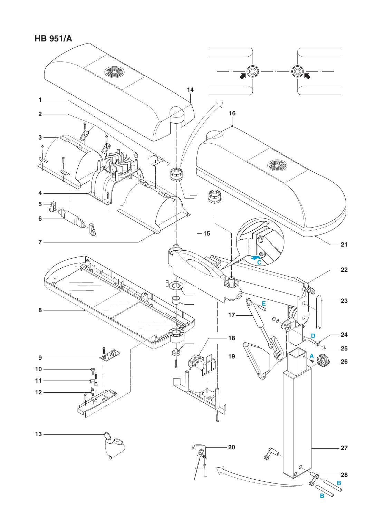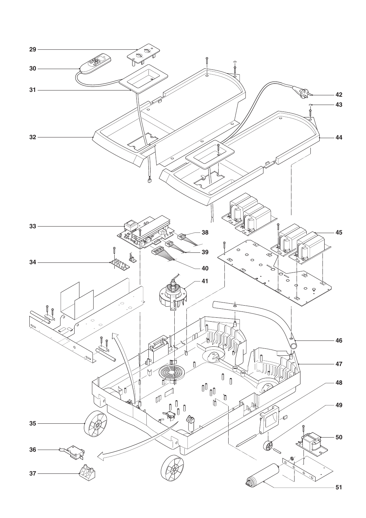